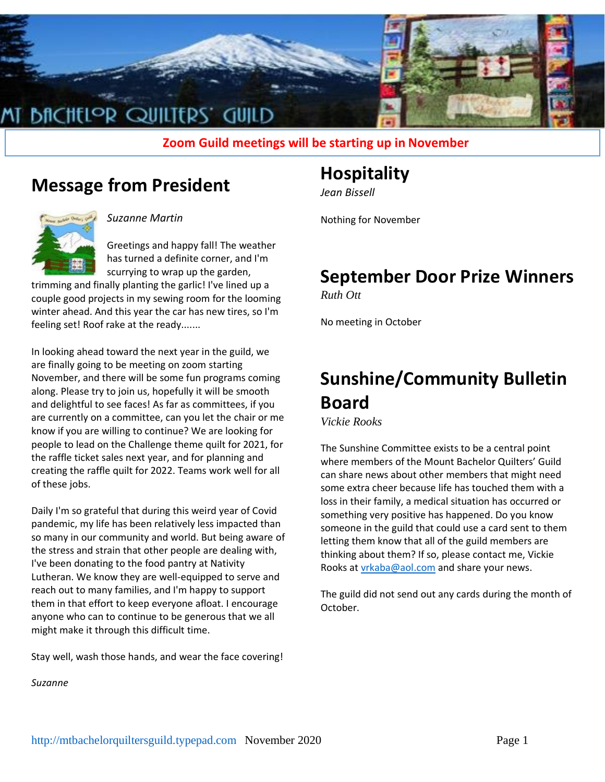

**Zoom Guild meetings will be starting up in November**

## **Message from President**



*Suzanne Martin*

Greetings and happy fall! The weather has turned a definite corner, and I'm scurrying to wrap up the garden,

trimming and finally planting the garlic! I've lined up a couple good projects in my sewing room for the looming winter ahead. And this year the car has new tires, so I'm feeling set! Roof rake at the ready.......

In looking ahead toward the next year in the guild, we are finally going to be meeting on zoom starting November, and there will be some fun programs coming along. Please try to join us, hopefully it will be smooth and delightful to see faces! As far as committees, if you are currently on a committee, can you let the chair or me know if you are willing to continue? We are looking for people to lead on the Challenge theme quilt for 2021, for the raffle ticket sales next year, and for planning and creating the raffle quilt for 2022. Teams work well for all of these jobs.

Daily I'm so grateful that during this weird year of Covid pandemic, my life has been relatively less impacted than so many in our community and world. But being aware of the stress and strain that other people are dealing with, I've been donating to the food pantry at Nativity Lutheran. We know they are well-equipped to serve and reach out to many families, and I'm happy to support them in that effort to keep everyone afloat. I encourage anyone who can to continue to be generous that we all might make it through this difficult time.

Stay well, wash those hands, and wear the face covering!

*Suzanne*

### **Hospitality**

*Jean Bissell*

Nothing for November

## **September Door Prize Winners**

*Ruth Ott*

No meeting in October

# **Sunshine/Community Bulletin Board**

*Vickie Rooks*

The Sunshine Committee exists to be a central point where members of the Mount Bachelor Quilters' Guild can share news about other members that might need some extra cheer because life has touched them with a loss in their family, a medical situation has occurred or something very positive has happened. Do you know someone in the guild that could use a card sent to them letting them know that all of the guild members are thinking about them? If so, please contact me, Vickie Rooks at [vrkaba@aol.com](mailto:vrkaba@aol.com) and share your news.

The guild did not send out any cards during the month of October.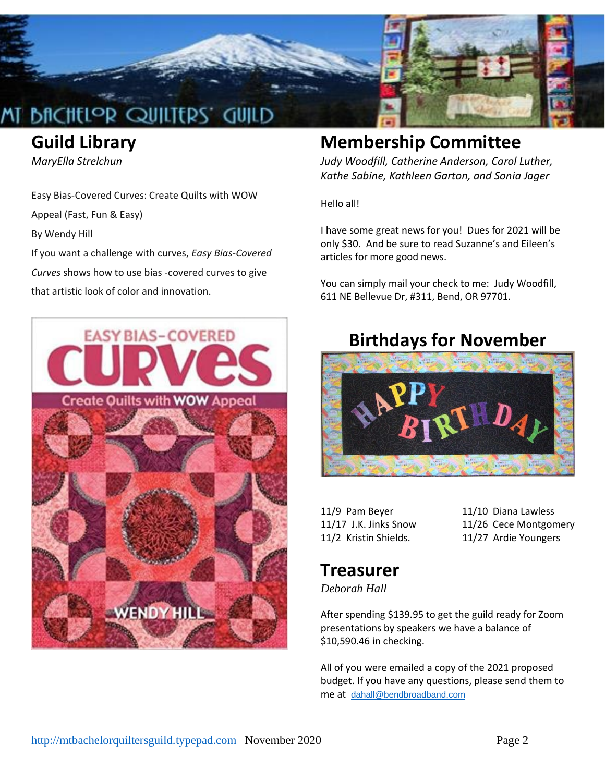

## **Guild Library**

*MaryElla Strelchun*

Easy Bias-Covered Curves: Create Quilts with WOW

Appeal (Fast, Fun & Easy)

By Wendy Hill

If you want a challenge with curves, *Easy Bias-Covered Curves* shows how to use bias -covered curves to give that artistic look of color and innovation.



## **Membership Committee**

*Judy Woodfill, Catherine Anderson, Carol Luther, Kathe Sabine, Kathleen Garton, and Sonia Jager*

Hello all!

I have some great news for you! Dues for 2021 will be only \$30. And be sure to read Suzanne's and Eileen's articles for more good news.

You can simply mail your check to me: Judy Woodfill, 611 NE Bellevue Dr, #311, Bend, OR 97701.

## **Birthdays for November**



11/9 Pam Beyer 11/10 Diana Lawless 11/17 J.K. Jinks Snow 11/26 Cece Montgomery 11/2 Kristin Shields. 11/27 Ardie Youngers

## **Treasurer**

*Deborah Hall*

After spending \$139.95 to get the guild ready for Zoom presentations by speakers we have a balance of \$10,590.46 in checking.

All of you were emailed a copy of the 2021 proposed budget. If you have any questions, please send them to me at [dahall@bendbroadband.com](mailto:dahall@bendbroadband.com)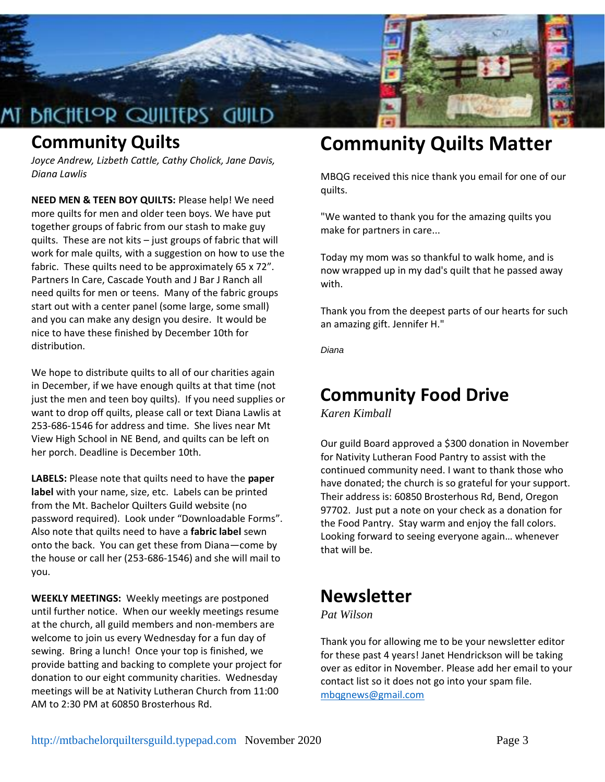

## **Community Quilts**

*Joyce Andrew, Lizbeth Cattle, Cathy Cholick, Jane Davis, Diana Lawlis*

**NEED MEN & TEEN BOY QUILTS:** Please help! We need more quilts for men and older teen boys. We have put together groups of fabric from our stash to make guy quilts. These are not kits – just groups of fabric that will work for male quilts, with a suggestion on how to use the fabric. These quilts need to be approximately 65 x 72". Partners In Care, Cascade Youth and J Bar J Ranch all need quilts for men or teens. Many of the fabric groups start out with a center panel (some large, some small) and you can make any design you desire. It would be nice to have these finished by December 10th for distribution.

We hope to distribute quilts to all of our charities again in December, if we have enough quilts at that time (not just the men and teen boy quilts). If you need supplies or want to drop off quilts, please call or text Diana Lawlis at 253-686-1546 for address and time. She lives near Mt View High School in NE Bend, and quilts can be left on her porch. Deadline is December 10th.

**LABELS:** Please note that quilts need to have the **paper label** with your name, size, etc. Labels can be printed from the Mt. Bachelor Quilters Guild website (no password required). Look under "Downloadable Forms". Also note that quilts need to have a **fabric label** sewn onto the back. You can get these from Diana—come by the house or call her (253-686-1546) and she will mail to you.

**WEEKLY MEETINGS:** Weekly meetings are postponed until further notice. When our weekly meetings resume at the church, all guild members and non-members are welcome to join us every Wednesday for a fun day of sewing. Bring a lunch! Once your top is finished, we provide batting and backing to complete your project for donation to our eight community charities. Wednesday meetings will be at Nativity Lutheran Church from 11:00 AM to 2:30 PM at 60850 Brosterhous Rd.

# **Community Quilts Matter**

MBQG received this nice thank you email for one of our quilts.

"We wanted to thank you for the amazing quilts you make for partners in care...

Today my mom was so thankful to walk home, and is now wrapped up in my dad's quilt that he passed away with.

Thank you from the deepest parts of our hearts for such an amazing gift. Jennifer H."

*Diana*

## **Community Food Drive**

*Karen Kimball*

Our guild Board approved a \$300 donation in November for Nativity Lutheran Food Pantry to assist with the continued community need. I want to thank those who have donated; the church is so grateful for your support. Their address is: 60850 Brosterhous Rd, Bend, Oregon 97702. Just put a note on your check as a donation for the Food Pantry. Stay warm and enjoy the fall colors. Looking forward to seeing everyone again… whenever that will be.

## **Newsletter**

### *Pat Wilson*

Thank you for allowing me to be your newsletter editor for these past 4 years! Janet Hendrickson will be taking over as editor in November. Please add her email to your contact list so it does not go into your spam file. [mbqgnews@gmail.com](http://mbqgnews@gmail.com/)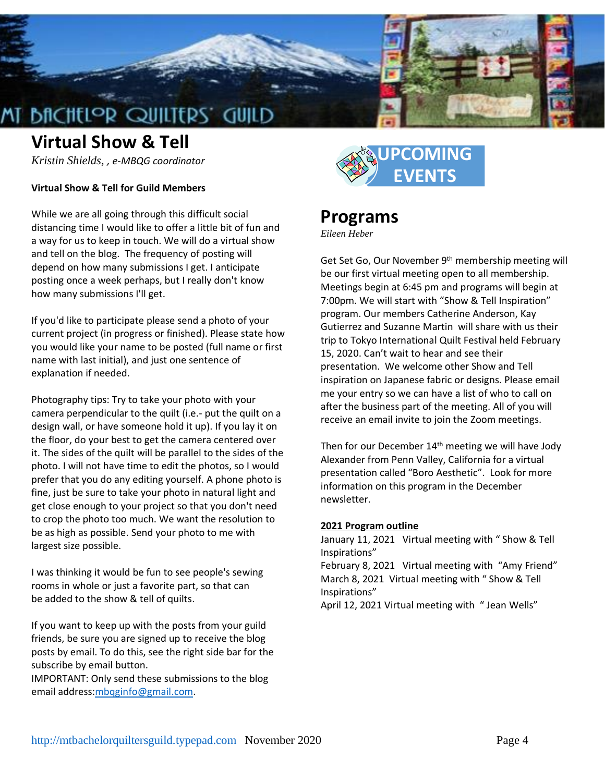

## **Virtual Show & Tell**

*Kristin Shields, , e-MBQG coordinator*

#### **Virtual Show & Tell for Guild Members**

While we are all going through this difficult social distancing time I would like to offer a little bit of fun and a way for us to keep in touch. We will do a virtual show and tell on the blog. The frequency of posting will depend on how many submissions I get. I anticipate posting once a week perhaps, but I really don't know how many submissions I'll get.

If you'd like to participate please send a photo of your current project (in progress or finished). Please state how you would like your name to be posted (full name or first name with last initial), and just one sentence of explanation if needed.

Photography tips: Try to take your photo with your camera perpendicular to the quilt (i.e.- put the quilt on a design wall, or have someone hold it up). If you lay it on the floor, do your best to get the camera centered over it. The sides of the quilt will be parallel to the sides of the photo. I will not have time to edit the photos, so I would prefer that you do any editing yourself. A phone photo is fine, just be sure to take your photo in natural light and get close enough to your project so that you don't need to crop the photo too much. We want the resolution to be as high as possible. Send your photo to me with largest size possible.

I was thinking it would be fun to see people's sewing rooms in whole or just a favorite part, so that can be added to the show & tell of quilts.

If you want to keep up with the posts from your guild friends, be sure you are signed up to receive the blog posts by email. To do this, see the right side bar for the subscribe by email button.

IMPORTANT: Only send these submissions to the blog email address[:mbqginfo@gmail.com.](mailto:mbqginfo@gmail.com)



### **Programs**

*Eileen Heber*

Get Set Go, Our November 9<sup>th</sup> membership meeting will be our first virtual meeting open to all membership. Meetings begin at 6:45 pm and programs will begin at 7:00pm. We will start with "Show & Tell Inspiration" program. Our members Catherine Anderson, Kay Gutierrez and Suzanne Martin will share with us their trip to Tokyo International Quilt Festival held February 15, 2020. Can't wait to hear and see their presentation. We welcome other Show and Tell inspiration on Japanese fabric or designs. Please email me your entry so we can have a list of who to call on after the business part of the meeting. All of you will receive an email invite to join the Zoom meetings.

Then for our December 14<sup>th</sup> meeting we will have Jody Alexander from Penn Valley, California for a virtual presentation called "Boro Aesthetic". Look for more information on this program in the December newsletter.

#### **2021 Program outline**

January 11, 2021 Virtual meeting with " Show & Tell Inspirations"

February 8, 2021 Virtual meeting with "Amy Friend" March 8, 2021 Virtual meeting with " Show & Tell Inspirations"

April 12, 2021 Virtual meeting with " Jean Wells"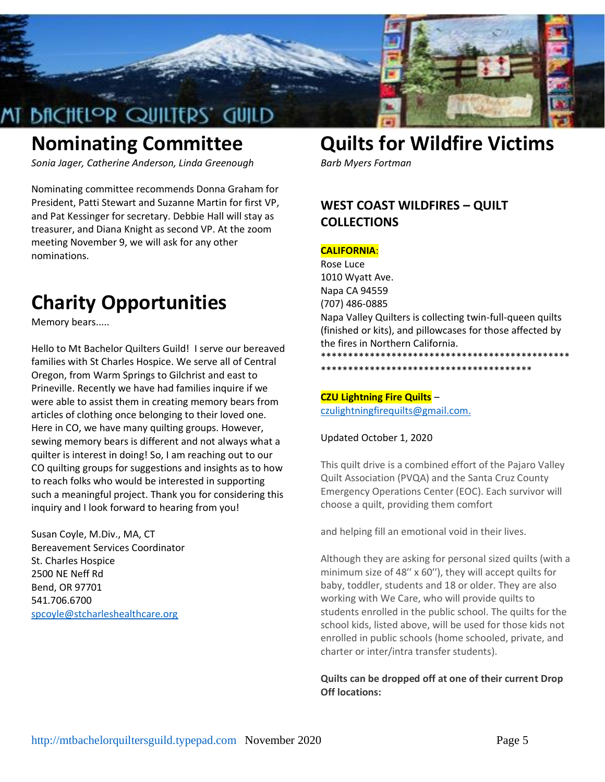

# **Nominating Committee**

*Sonia Jager, Catherine Anderson, Linda Greenough*

Nominating committee recommends Donna Graham for President, Patti Stewart and Suzanne Martin for first VP, and Pat Kessinger for secretary. Debbie Hall will stay as treasurer, and Diana Knight as second VP. At the zoom meeting November 9, we will ask for any other nominations.

# **Charity Opportunities**

Memory bears.....

Hello to Mt Bachelor Quilters Guild! I serve our bereaved families with St Charles Hospice. We serve all of Central Oregon, from Warm Springs to Gilchrist and east to Prineville. Recently we have had families inquire if we were able to assist them in creating memory bears from articles of clothing once belonging to their loved one. Here in CO, we have many quilting groups. However, sewing memory bears is different and not always what a quilter is interest in doing! So, I am reaching out to our CO quilting groups for suggestions and insights as to how to reach folks who would be interested in supporting such a meaningful project. Thank you for considering this inquiry and I look forward to hearing from you!

Susan Coyle, M.Div., MA, CT Bereavement Services Coordinator St. Charles Hospice 2500 NE Neff Rd Bend, OR 97701 541.706.6700 [spcoyle@stcharleshealthcare.org](mailto:spcoyle@stcharleshealthcare.org)

# **Quilts for Wildfire Victims**

*Barb Myers Fortman*

### **WEST COAST WILDFIRES – QUILT COLLECTIONS**

#### **CALIFORNIA**:

Rose Luce 1010 Wyatt Ave. Napa CA 94559 (707) 486-0885 Napa Valley Quilters is collecting twin-full-queen quilts (finished or kits), and pillowcases for those affected by the fires in Northern California. \*\*\*\*\*\*\*\*\*\*\*\*\*\*\*\*\*\*\*\*\*\*\*\*\*\*\*\*\*\*\*\*\*\*\*\*\*\*\*\*\*\*\*\*\*\*

\*\*\*\*\*\*\*\*\*\*\*\*\*\*\*\*\*\*\*\*\*\*\*\*\*\*\*\*\*\*\*\*\*\*\*\*\*\*\*

## **CZU Lightning Fire Quilts** –

[czulightningfirequilts@gmail.com.](http://czulightningfirequilts@gmail.com./)

Updated October 1, 2020

This quilt drive is a combined effort of the Pajaro Valley Quilt Association (PVQA) and the Santa Cruz County Emergency Operations Center (EOC). Each survivor will choose a quilt, providing them comfort

and helping fill an emotional void in their lives.

Although they are asking for personal sized quilts (with a minimum size of 48′′ x 60′′), they will accept quilts for baby, toddler, students and 18 or older. They are also working with We Care, who will provide quilts to students enrolled in the public school. The quilts for the school kids, listed above, will be used for those kids not enrolled in public schools (home schooled, private, and charter or inter/intra transfer students).

#### **Quilts can be dropped off at one of their current Drop Off locations:**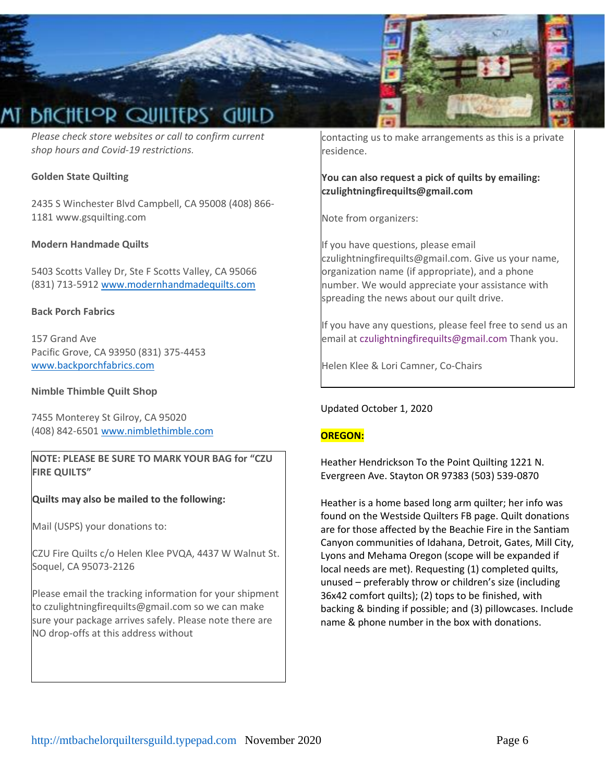

*Please check store websites or call to confirm current shop hours and Covid-19 restrictions.* 

#### **Golden State Quilting**

2435 S Winchester Blvd Campbell, CA 95008 (408) 866- 1181 www.gsquilting.com

#### **Modern Handmade Quilts**

5403 Scotts Valley Dr, Ste F Scotts Valley, CA 95066 (831) 713-5912 [www.modernhandmadequilts.com](http://www.modernhandmadequilts.com/)

#### **Back Porch Fabrics**

157 Grand Ave Pacific Grove, CA 93950 (831) 375-4453 [www.backporchfabrics.com](http://www.backporchfabrics.com/)

#### **Nimble Thimble Quilt Shop**

7455 Monterey St Gilroy, CA 95020 (408) 842-6501 [www.nimblethimble.com](http://www.nimblethimble.com/)

**NOTE: PLEASE BE SURE TO MARK YOUR BAG for "CZU FIRE QUILTS"** 

**Quilts may also be mailed to the following:** 

Mail (USPS) your donations to:

CZU Fire Quilts c/o Helen Klee PVQA, 4437 W Walnut St. Soquel, CA 95073-2126

Please email the tracking information for your shipment to czulightningfirequilts@gmail.com so we can make sure your package arrives safely. Please note there are NO drop-offs at this address without

contacting us to make arrangements as this is a private residence.

**You can also request a pick of quilts by emailing: czulightningfirequilts@gmail.com** 

Note from organizers:

If you have questions, please email czulightningfirequilts@gmail.com. Give us your name, organization name (if appropriate), and a phone number. We would appreciate your assistance with spreading the news about our quilt drive.

If you have any questions, please feel free to send us an email at czulightningfirequilts@gmail.com Thank you.

Helen Klee & Lori Camner, Co-Chairs

Updated October 1, 2020

#### **OREGON:**

Heather Hendrickson To the Point Quilting 1221 N. Evergreen Ave. Stayton OR 97383 (503) 539-0870

Heather is a home based long arm quilter; her info was found on the Westside Quilters FB page. Quilt donations are for those affected by the Beachie Fire in the Santiam Canyon communities of Idahana, Detroit, Gates, Mill City, Lyons and Mehama Oregon (scope will be expanded if local needs are met). Requesting (1) completed quilts, unused – preferably throw or children's size (including 36x42 comfort quilts); (2) tops to be finished, with backing & binding if possible; and (3) pillowcases. Include name & phone number in the box with donations.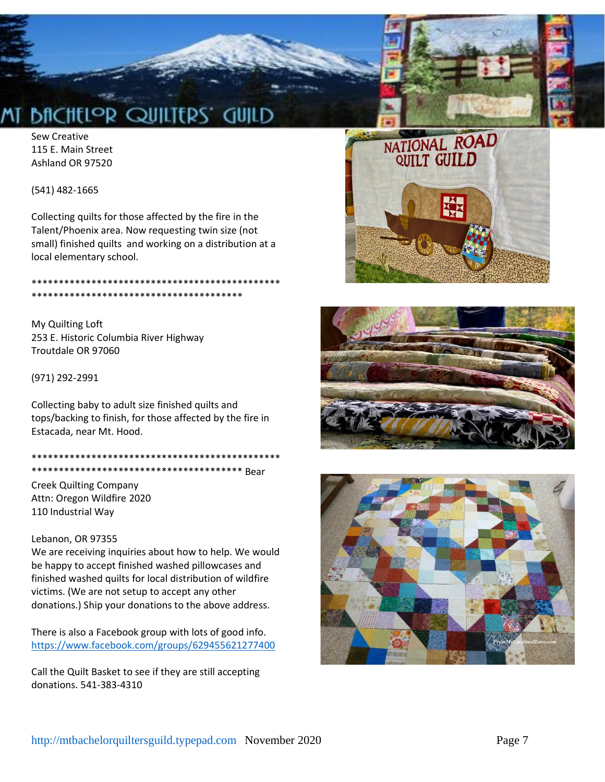# **BACHELOR QUILITERS' GUILD**

Sew Creative 115 E. Main Street Ashland OR 97520

(541) 482-1665

Collecting quilts for those affected by the fire in the Talent/Phoenix area. Now requesting twin size (not small) finished quilts and working on a distribution at a local elementary school.

#### \*\*\*\*\*\*\*\*\*\*\*\*\*\*\*\*\*\*\*\*\*\*\*\*\*\*\*\*\*\*\*\*\*\*\*\*\*\*\*\*\*\*\*\*\*\* \*\*\*\*\*\*\*\*\*\*\*\*\*\*\*\*\*\*\*\*\*\*\*\*\*\*\*\*\*\*\*\*\*\*\*\*\*\*\*

My Quilting Loft 253 E. Historic Columbia River Highway Troutdale OR 97060

(971) 292-2991

Collecting baby to adult size finished quilts and tops/backing to finish, for those affected by the fire in Estacada, near Mt. Hood.

\*\*\*\*\*\*\*\*\*\*\*\*\*\*\*\*\*\*\*\*\*\*\*\*\*\*\*\*\*\*\*\*\*\*\*\*\*\*\*\*\*\*\*\*\*\* \*\*\*\*\*\*\*\*\*\*\*\*\*\*\*\*\*\*\*\*\*\*\*\*\*\*\*\*\*\*\*\*\*\*\*\*\*\*\* Bear

Creek Quilting Company Attn: Oregon Wildfire 2020 110 Industrial Way

#### Lebanon, OR 97355

We are receiving inquiries about how to help. We would be happy to accept finished washed pillowcases and finished washed quilts for local distribution of wildfire victims. (We are not setup to accept any other donations.) Ship your donations to the above address.

There is also a Facebook group with lots of good info. <https://www.facebook.com/groups/629455621277400>

Call the Quilt Basket to see if they are still accepting donations. 541-383-4310





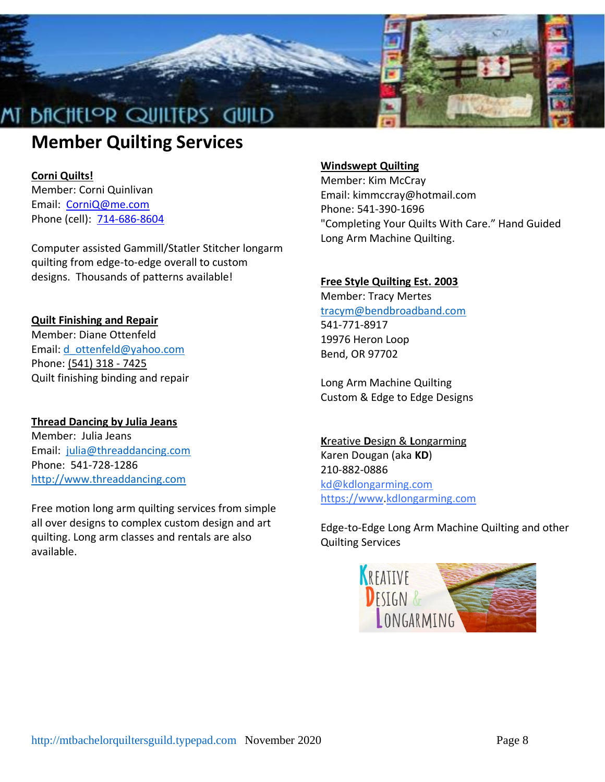

# **Member Quilting Services**

### **Corni Quilts!**

Member: Corni Quinlivan Email: [CorniQ@me.com](mailto:CorniQ@me.com) Phone (cell): [714-686-8604](tel:714-686-8604)

Computer assisted Gammill/Statler Stitcher longarm quilting from edge-to-edge overall to custom designs. Thousands of patterns available!

### **Quilt Finishing and Repair**

Member: Diane Ottenfeld Email: [d\\_ottenfeld@yahoo.com](mailto:d_ottenfeld@yahoo.com) Phone: [\(541\) 318 -](tel:%28541%29%20318%20-%207425) 7425 Quilt finishing binding and repair

### **Thread Dancing by Julia Jeans**

Member: Julia Jeans Email: [julia@threaddancing.com](mailto:julia@threaddancing.com) Phone: 541-728-1286 [http://www.threaddancing.com](http://www.threaddancing.com/)

Free motion long arm quilting services from simple all over designs to complex custom design and art quilting. Long arm classes and rentals are also available.

### **Windswept Quilting**

Member: Kim McCray Email: kimmccray@hotmail.com Phone: 541-390-1696 "Completing Your Quilts With Care." Hand Guided Long Arm Machine Quilting.

### **Free Style Quilting Est. 2003**

Member: Tracy Mertes [tracym@bendbroadband.com](mailto:tracym@bendbroadband.com) 541-771-8917 19976 Heron Loop Bend, OR 97702

Long Arm Machine Quilting Custom & Edge to Edge Designs

**K**reative **D**esign & **L**ongarming Karen Dougan (aka **KD**) 210-882-0886 [kd@kdlongarming.com](mailto:kd@kdlongarming.com) [https://www](https://www/)[.kdlongarming.com](http://www.kdlongarming.com/)

Edge-to-Edge Long Arm Machine Quilting and other Quilting Services

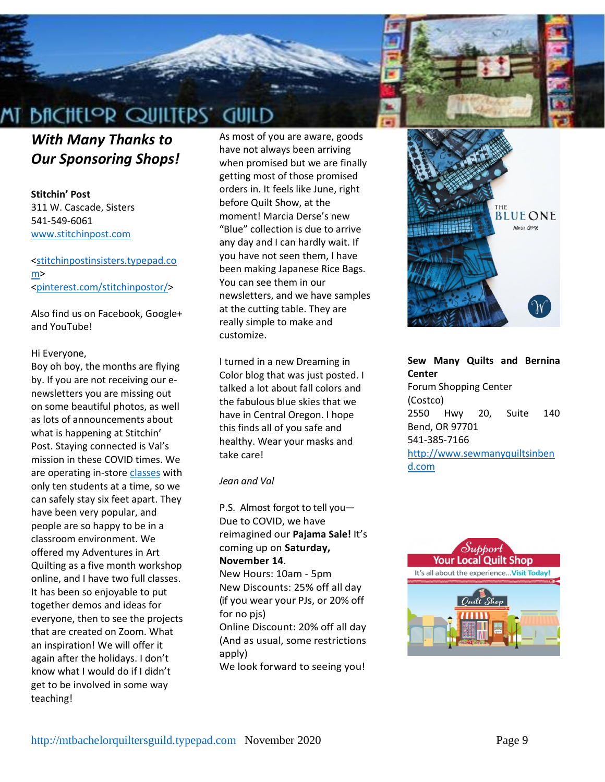



**Stitchin' Post** 311 W. Cascade, Sisters 541-549-6061 [www.stitchinpost.com](http://www.stitchinpost.com/)

#### [<stitchinpostinsisters.typepad.co](http://stitchinpostinsisters.typepad.com/) [m>](http://stitchinpostinsisters.typepad.com/) [<pinterest.com/stitchinpostor/>](http://pinterest.com/stitchinpostor/)

Also find us on Facebook, Google+ and YouTube!

#### Hi Everyone,

Boy oh boy, the months are flying by. If you are not receiving our enewsletters you are missing out on some beautiful photos, as well as lots of announcements about what is happening at Stitchin' Post. Staying connected is Val's mission in these COVID times. We are operating in-stor[e classes](https://stitchinpost.com/workshops--classes/classes-by-date) with only ten students at a time, so we can safely stay six feet apart. They have been very popular, and people are so happy to be in a classroom environment. We offered my Adventures in Art Quilting as a five month workshop online, and I have two full classes. It has been so enjoyable to put together demos and ideas for everyone, then to see the projects that are created on Zoom. What an inspiration! We will offer it again after the holidays. I don't know what I would do if I didn't get to be involved in some way teaching!

As most of you are aware, goods have not always been arriving when promised but we are finally getting most of those promised orders in. It feels like June, right before Quilt Show, at the moment! Marcia Derse's new "Blue" collection is due to arrive any day and I can hardly wait. If you have not seen them, I have been making Japanese Rice Bags. You can see them in our newsletters, and we have samples at the cutting table. They are really simple to make and customize.

I turned in a new Dreaming in Color blog that was just posted. I talked a lot about fall colors and the fabulous blue skies that we have in Central Oregon. I hope this finds all of you safe and healthy. Wear your masks and take care!

#### *Jean and Val*

P.S. Almost forgot to tell you— Due to COVID, we have reimagined our **Pajama Sale!** It's coming up on **Saturday, November 14**.

New Hours: 10am - 5pm New Discounts: 25% off all day (if you wear your PJs, or 20% off for no pjs)

Online Discount: 20% off all day (And as usual, some restrictions apply)

We look forward to seeing you!



**Sew Many Quilts and Bernina Center** Forum Shopping Center (Costco) 2550 Hwy 20, Suite 140 Bend, OR 97701 541-385-7166 [http://www.sewmanyquiltsinben](http://www.sewmanyquiltsinbend.com/) [d.com](http://www.sewmanyquiltsinbend.com/)

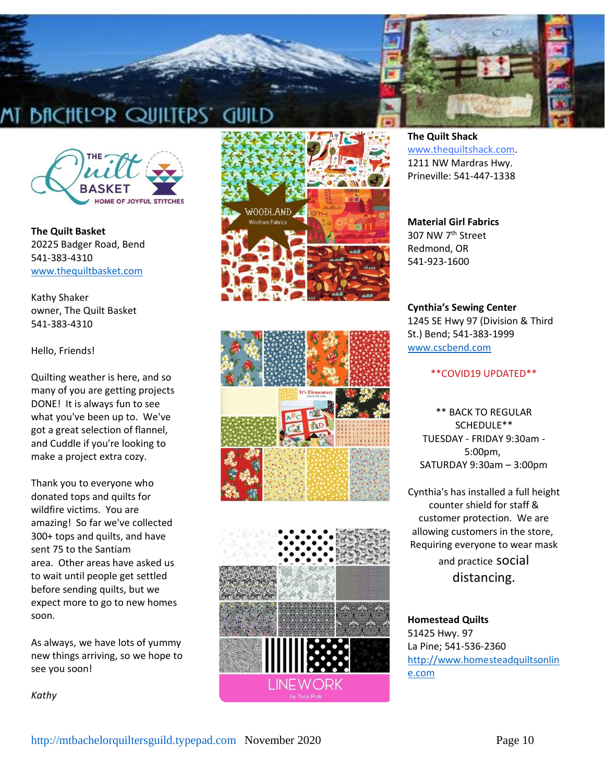



**The Quilt Basket** 20225 Badger Road, Bend 541-383-4310 [www.thequiltbasket.com](http://www.thequiltbasket.com/)

Kathy Shaker owner, The Quilt Basket 541-383-4310

#### Hello, Friends!

Quilting weather is here, and so many of you are getting projects DONE! It is always fun to see what you've been up to. We've got a great selection of flannel, and Cuddle if you're looking to make a project extra cozy.

Thank you to everyone who donated tops and quilts for wildfire victims. You are amazing! So far we've collected 300+ tops and quilts, and have sent 75 to the Santiam area. Other areas have asked us to wait until people get settled before sending quilts, but we expect more to go to new homes soon.

As always, we have lots of yummy new things arriving, so we hope to see you soon!

*Kathy*







**The Quilt Shack** [www.thequiltshack.com.](http://www.thequiltshack.com/) 1211 NW Mardras Hwy. Prineville: 541-447-1338

#### **Material Girl Fabrics** 307 NW 7th Street

Redmond, OR 541-923-1600

#### **Cynthia's Sewing Center**

1245 SE Hwy 97 (Division & Third St.) Bend; 541-383-1999 [www.cscbend.com](http://www.cscbend.com/)

#### \*\*COVID19 UPDATED\*\*

\*\* BACK TO REGULAR SCHEDULE\*\* TUESDAY - FRIDAY 9:30am - 5:00pm, SATURDAY 9:30am – 3:00pm

Cynthia's has installed a full height counter shield for staff & customer protection. We are allowing customers in the store, Requiring everyone to wear mask and practice social distancing.

**Homestead Quilts** 51425 Hwy. 97 La Pine; 541-536-2360 [http://www.homesteadquiltsonlin](http://www.homesteadquiltsonline.com/) [e.com](http://www.homesteadquiltsonline.com/)